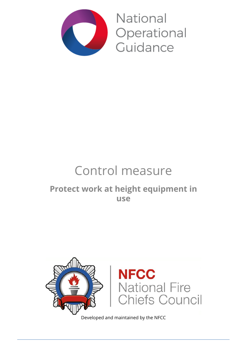

National Operational Guidance

# Control measure

### **Protect work at height equipment in use**



Developed and maintained by the NFCC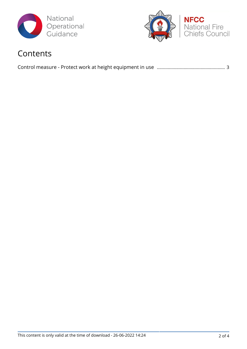



### Contents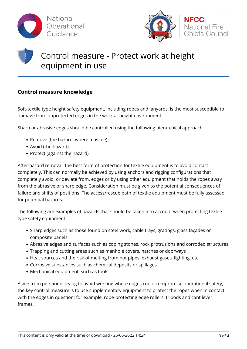



## Control measure - Protect work at height equipment in use

### **Control measure knowledge**

Soft-textile type height safety equipment, including ropes and lanyards, is the most susceptible to damage from unprotected edges in the work at height environment.

Sharp or abrasive edges should be controlled using the following hierarchical approach:

- Remove (the hazard, where feasible)
- Avoid (the hazard)
- Protect (against the hazard)

After hazard removal, the best form of protection for textile equipment is to avoid contact completely. This can normally be achieved by using anchors and rigging configurations that completely avoid, or deviate from, edges or by using other equipment that holds the ropes away from the abrasive or sharp edge. Consideration must be given to the potential consequences of failure and shifts of positions. The access/rescue path of textile equipment must be fully assessed for potential hazards.

The following are examples of hazards that should be taken into account when protecting textiletype safety equipment:

- Sharp edges such as those found on steel work, cable trays, gratings, glass façades or composite panels
- Abrasive edges and surfaces such as coping stones, rock protrusions and corroded structures
- Trapping and cutting areas such as manhole covers, hatches or doorways
- Heat sources and the risk of melting from hot pipes, exhaust gases, lighting, etc.
- Corrosive substances such as chemical deposits or spillages
- Mechanical equipment, such as tools

Aside from personnel trying to avoid working where edges could compromise operational safety, the key control measure is to use supplementary equipment to protect the ropes when in contact with the edges in question: for example, rope-protecting edge rollers, tripods and cantilever frames.